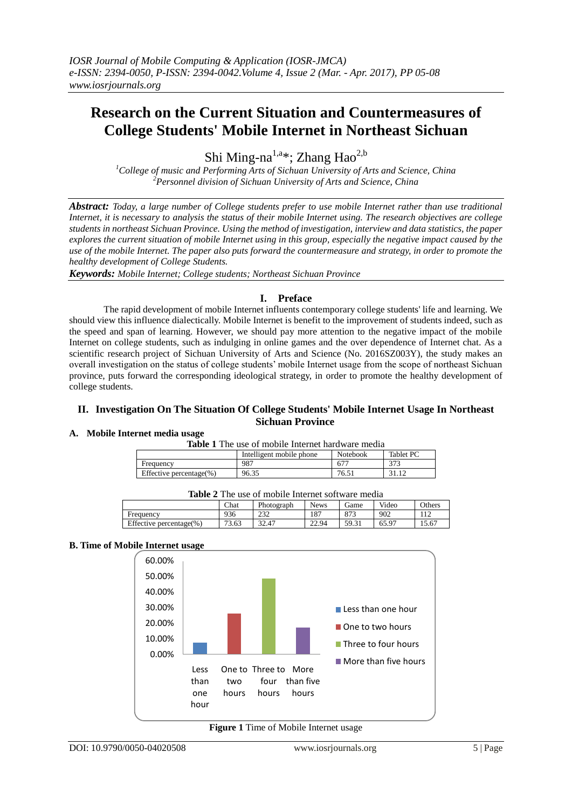# **Research on the Current Situation and Countermeasures of College Students' Mobile Internet in Northeast Sichuan**

Shi Ming-na<sup>1,a\*</sup>; Zhang Hao<sup>2,b</sup>

*<sup>1</sup>College of music and Performing Arts of Sichuan University of Arts and Science, China <sup>2</sup>Personnel division of Sichuan University of Arts and Science, China*

*Abstract: Today, a large number of College students prefer to use mobile Internet rather than use traditional Internet, it is necessary to analysis the status of their mobile Internet using. The research objectives are college students in northeast Sichuan Province. Using the method of investigation, interview and data statistics, the paper explores the current situation of mobile Internet using in this group, especially the negative impact caused by the use of the mobile Internet. The paper also puts forward the countermeasure and strategy, in order to promote the healthy development of College Students.*

*Keywords: Mobile Internet; College students; Northeast Sichuan Province*

# **I. Preface**

The rapid development of mobile Internet influents contemporary college students' life and learning. We should view this influence dialectically. Mobile Internet is benefit to the improvement of students indeed, such as the speed and span of learning. However, we should pay more attention to the negative impact of the mobile Internet on college students, such as indulging in online games and the over dependence of Internet chat. As a scientific research project of Sichuan University of Arts and Science (No. 2016SZ003Y), the study makes an overall investigation on the status of college students' mobile Internet usage from the scope of northeast Sichuan province, puts forward the corresponding ideological strategy, in order to promote the healthy development of college students.

#### **II. Investigation On The Situation Of College Students' Mobile Internet Usage In Northeast Sichuan Province**

## **A. Mobile Internet media usage**

|  | <b>Table 1</b> The use of mobile Internet hardware media |  |
|--|----------------------------------------------------------|--|
|--|----------------------------------------------------------|--|

|                         | Intelligent mobile phone | Notebook        | Tablet PC |
|-------------------------|--------------------------|-----------------|-----------|
| Frequency               | 987                      | 67 <sup>-</sup> | つつつ       |
| Effective percentage(%) | 96.35                    | 76.51           |           |

| <b>Table</b> 2 The use of mobile internet software media |             |            |             |       |       |        |  |  |
|----------------------------------------------------------|-------------|------------|-------------|-------|-------|--------|--|--|
|                                                          | <b>Chat</b> | Photograph | <b>News</b> | Game  | Video | Others |  |  |
| Frequency                                                | 936         | 232        | 187         | 873   | 902   | 112    |  |  |
| Effective percentage $(\%)$                              | 73.63       | 32.47      | 22.94       | 59.31 | 65.97 | 15.67  |  |  |

**Table 2** The use of mobile Internet software media

# **B. Time of Mobile Internet usage**



**Figure 1** Time of Mobile Internet usage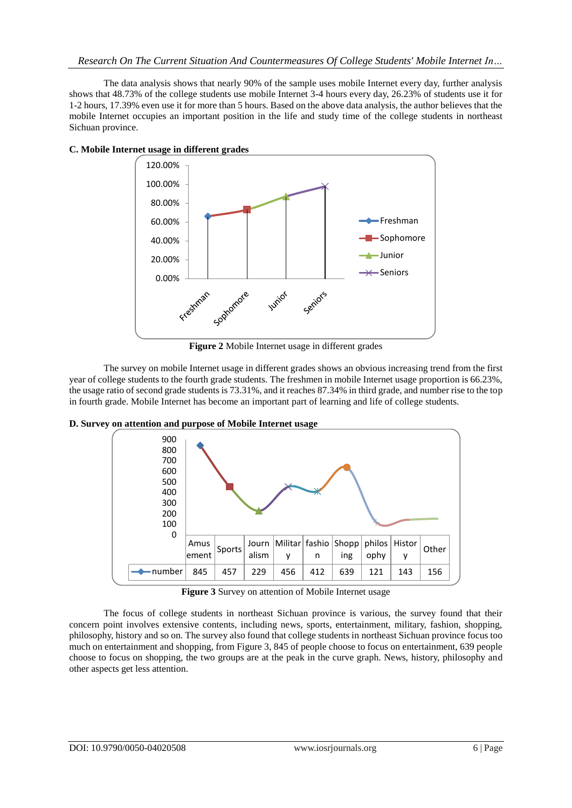The data analysis shows that nearly 90% of the sample uses mobile Internet every day, further analysis shows that 48.73% of the college students use mobile Internet 3-4 hours every day, 26.23% of students use it for 1-2 hours, 17.39% even use it for more than 5 hours. Based on the above data analysis, the author believes that the mobile Internet occupies an important position in the life and study time of the college students in northeast Sichuan province.



**C. Mobile Internet usage in different grades**

**Figure 2** Mobile Internet usage in different grades

The survey on mobile Internet usage in different grades shows an obvious increasing trend from the first year of college students to the fourth grade students. The freshmen in mobile Internet usage proportion is 66.23%, the usage ratio of second grade students is 73.31%, and it reaches 87.34% in third grade, and number rise to the top in fourth grade. Mobile Internet has become an important part of learning and life of college students.



**D. Survey on attention and purpose of Mobile Internet usage**

The focus of college students in northeast Sichuan province is various, the survey found that their concern point involves extensive contents, including news, sports, entertainment, military, fashion, shopping, philosophy, history and so on. The survey also found that college students in northeast Sichuan province focus too much on entertainment and shopping, from Figure 3, 845 of people choose to focus on entertainment, 639 people choose to focus on shopping, the two groups are at the peak in the curve graph. News, history, philosophy and other aspects get less attention.

**Figure 3** Survey on attention of Mobile Internet usage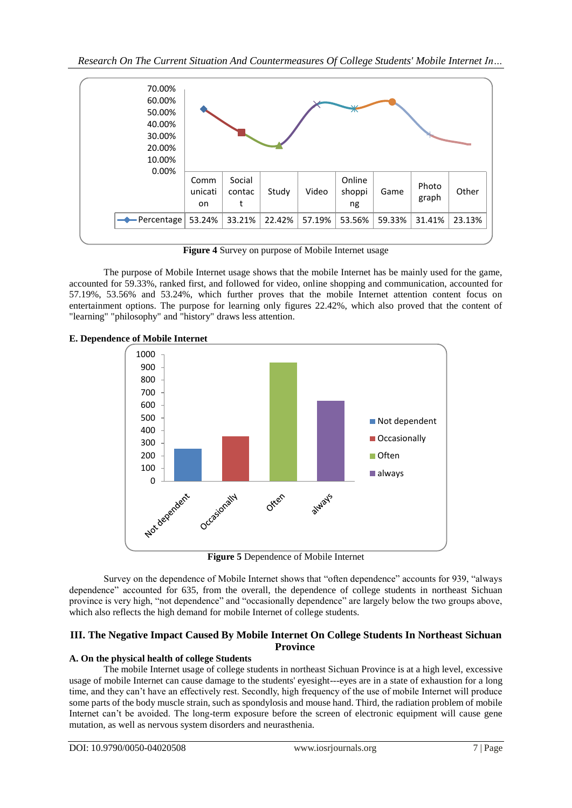

**Figure 4** Survey on purpose of Mobile Internet usage

The purpose of Mobile Internet usage shows that the mobile Internet has be mainly used for the game, accounted for 59.33%, ranked first, and followed for video, online shopping and communication, accounted for 57.19%, 53.56% and 53.24%, which further proves that the mobile Internet attention content focus on entertainment options. The purpose for learning only figures 22.42%, which also proved that the content of "learning" "philosophy" and "history" draws less attention.





**Figure 5** Dependence of Mobile Internet

Survey on the dependence of Mobile Internet shows that "often dependence" accounts for 939, "always dependence" accounted for 635, from the overall, the dependence of college students in northeast Sichuan province is very high, "not dependence" and "occasionally dependence" are largely below the two groups above, which also reflects the high demand for mobile Internet of college students.

# **III. The Negative Impact Caused By Mobile Internet On College Students In Northeast Sichuan Province**

# **A. On the physical health of college Students**

The mobile Internet usage of college students in northeast Sichuan Province is at a high level, excessive usage of mobile Internet can cause damage to the students' eyesight---eyes are in a state of exhaustion for a long time, and they can't have an effectively rest. Secondly, high frequency of the use of mobile Internet will produce some parts of the body muscle strain, such as spondylosis and mouse hand. Third, the radiation problem of mobile Internet can't be avoided. The long-term exposure before the screen of electronic equipment will cause gene mutation, as well as nervous system disorders and neurasthenia.